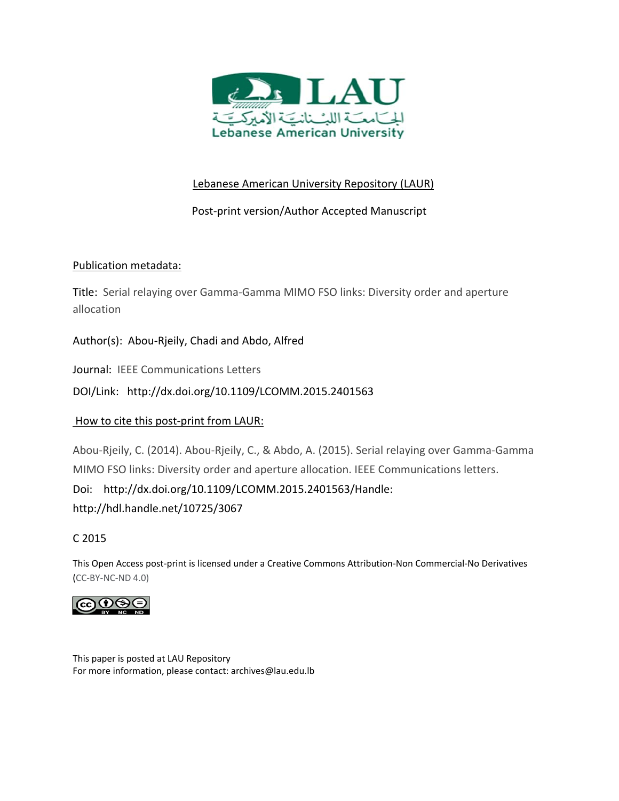

# Lebanese American University Repository (LAUR)

## Post‐print version/Author Accepted Manuscript

## Publication metadata:

Title: Serial relaying over Gamma‐Gamma MIMO FSO links: Diversity order and aperture allocation

Author(s): Abou‐Rjeily, Chadi and Abdo, Alfred

Journal: IEEE Communications Letters

DOI/Link: http://dx.doi.org/10.1109/LCOMM.2015.2401563

## How to cite this post-print from LAUR:

Abou‐Rjeily, C. (2014). Abou‐Rjeily, C., & Abdo, A. (2015). Serial relaying over Gamma‐Gamma MIMO FSO links: Diversity order and aperture allocation. IEEE Communications letters.

Doi: http://dx.doi.org/10.1109/LCOMM.2015.2401563/Handle:

http://hdl.handle.net/10725/3067

## C 2015

This Open Access post‐print is licensed under a Creative Commons Attribution‐Non Commercial‐No Derivatives (CC‐BY‐NC‐ND 4.0)



This paper is posted at LAU Repository For more information, please contact: archives@lau.edu.lb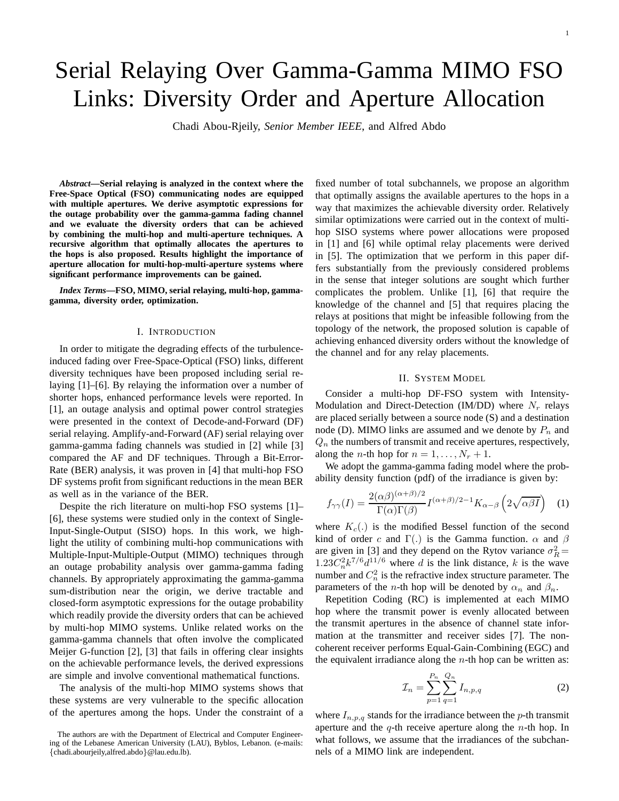1

# Serial Relaying Over Gamma-Gamma MIMO FSO Links: Diversity Order and Aperture Allocation

Chadi Abou-Rjeily, *Senior Member IEEE*, and Alfred Abdo

*Abstract***—Serial relaying is analyzed in the context where the Free-Space Optical (FSO) communicating nodes are equipped with multiple apertures. We derive asymptotic expressions for the outage probability over the gamma-gamma fading channel and we evaluate the diversity orders that can be achieved by combining the multi-hop and multi-aperture techniques. A recursive algorithm that optimally allocates the apertures to the hops is also proposed. Results highlight the importance of aperture allocation for multi-hop-multi-aperture systems where significant performance improvements can be gained.**

*Index Terms***—FSO, MIMO, serial relaying, multi-hop, gammagamma, diversity order, optimization.**

### I. INTRODUCTION

In order to mitigate the degrading effects of the turbulenceinduced fading over Free-Space-Optical (FSO) links, different diversity techniques have been proposed including serial relaying [1]–[6]. By relaying the information over a number of shorter hops, enhanced performance levels were reported. In [1], an outage analysis and optimal power control strategies were presented in the context of Decode-and-Forward (DF) serial relaying. Amplify-and-Forward (AF) serial relaying over gamma-gamma fading channels was studied in [2] while [3] compared the AF and DF techniques. Through a Bit-Error-Rate (BER) analysis, it was proven in [4] that multi-hop FSO DF systems profit from significant reductions in the mean BER as well as in the variance of the BER.

Despite the rich literature on multi-hop FSO systems [1]– [6], these systems were studied only in the context of Single-Input-Single-Output (SISO) hops. In this work, we highlight the utility of combining multi-hop communications with Multiple-Input-Multiple-Output (MIMO) techniques through an outage probability analysis over gamma-gamma fading channels. By appropriately approximating the gamma-gamma sum-distribution near the origin, we derive tractable and closed-form asymptotic expressions for the outage probability which readily provide the diversity orders that can be achieved by multi-hop MIMO systems. Unlike related works on the gamma-gamma channels that often involve the complicated Meijer G-function [2], [3] that fails in offering clear insights on the achievable performance levels, the derived expressions are simple and involve conventional mathematical functions.

The analysis of the multi-hop MIMO systems shows that these systems are very vulnerable to the specific allocation of the apertures among the hops. Under the constraint of a

fixed number of total subchannels, we propose an algorithm that optimally assigns the available apertures to the hops in a way that maximizes the achievable diversity order. Relatively similar optimizations were carried out in the context of multihop SISO systems where power allocations were proposed in [1] and [6] while optimal relay placements were derived in [5]. The optimization that we perform in this paper differs substantially from the previously considered problems in the sense that integer solutions are sought which further complicates the problem. Unlike [1], [6] that require the knowledge of the channel and [5] that requires placing the relays at positions that might be infeasible following from the topology of the network, the proposed solution is capable of achieving enhanced diversity orders without the knowledge of the channel and for any relay placements.

## II. SYSTEM MODEL

Consider a multi-hop DF-FSO system with Intensity-Modulation and Direct-Detection (IM/DD) where  $N_r$  relays are placed serially between a source node (S) and a destination node (D). MIMO links are assumed and we denote by  $P_n$  and  $Q_n$  the numbers of transmit and receive apertures, respectively, along the *n*-th hop for  $n = 1, ..., N_r + 1$ .

We adopt the gamma-gamma fading model where the probability density function (pdf) of the irradiance is given by:

$$
f_{\gamma\gamma}(I) = \frac{2(\alpha\beta)^{(\alpha+\beta)/2}}{\Gamma(\alpha)\Gamma(\beta)} I^{(\alpha+\beta)/2-1} K_{\alpha-\beta} \left(2\sqrt{\alpha\beta I}\right) \quad (1)
$$

where  $K_c(.)$  is the modified Bessel function of the second kind of order c and  $\Gamma(.)$  is the Gamma function.  $\alpha$  and  $\beta$ are given in [3] and they depend on the Rytov variance  $\sigma_R^2 =$  $1.23C_n^2k^{7/6}d^{11/6}$  where d is the link distance, k is the wave number and  $C_n^2$  is the refractive index structure parameter. The parameters of the *n*-th hop will be denoted by  $\alpha_n$  and  $\beta_n$ .

Repetition Coding (RC) is implemented at each MIMO hop where the transmit power is evenly allocated between the transmit apertures in the absence of channel state information at the transmitter and receiver sides [7]. The noncoherent receiver performs Equal-Gain-Combining (EGC) and the equivalent irradiance along the  $n$ -th hop can be written as:

$$
\mathcal{I}_n = \sum_{p=1}^{P_n} \sum_{q=1}^{Q_n} I_{n,p,q}
$$
 (2)

where  $I_{n,p,q}$  stands for the irradiance between the p-th transmit aperture and the  $q$ -th receive aperture along the *n*-th hop. In what follows, we assume that the irradiances of the subchannels of a MIMO link are independent.

The authors are with the Department of Electrical and Computer Engineering of the Lebanese American University (LAU), Byblos, Lebanon. (e-mails: {chadi.abourjeily,alfred.abdo}@lau.edu.lb).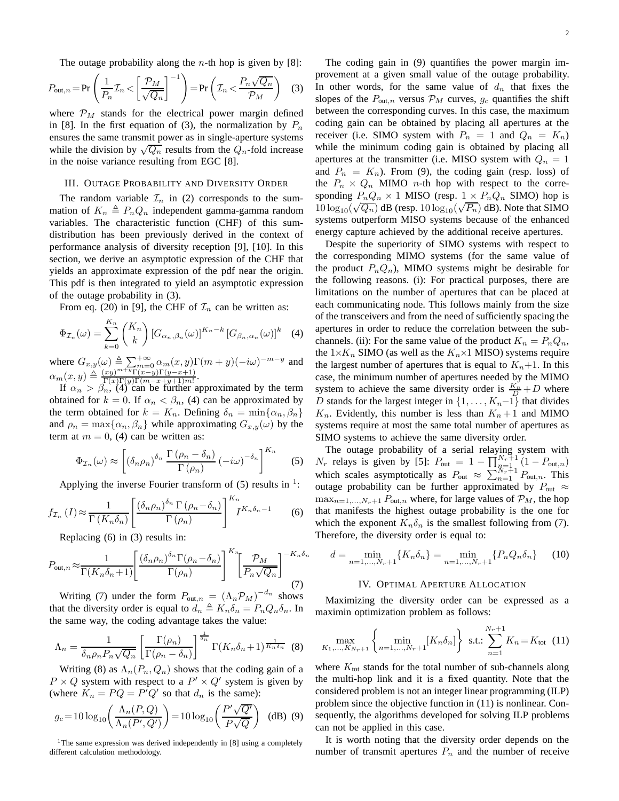The outage probability along the *n*-th hop is given by [8]:

$$
P_{\text{out},n} = \Pr\left(\frac{1}{P_n} \mathcal{I}_n < \left[\frac{\mathcal{P}_M}{\sqrt{Q_n}}\right]^{-1}\right) = \Pr\left(\mathcal{I}_n < \frac{P_n \sqrt{Q_n}}{\mathcal{P}_M}\right) \tag{3}
$$

where  $\mathcal{P}_M$  stands for the electrical power margin defined in [8]. In the first equation of (3), the normalization by  $P_n$ ensures the same transmit power as in single-aperture systems while the division by  $\sqrt{Q_n}$  results from the  $Q_n$ -fold increase in the noise variance resulting from EGC [8].

#### III. OUTAGE PROBABILITY AND DIVERSITY ORDER

The random variable  $\mathcal{I}_n$  in (2) corresponds to the summation of  $K_n \triangleq P_nQ_n$  independent gamma-gamma random variables. The characteristic function (CHF) of this sumdistribution has been previously derived in the context of performance analysis of diversity reception [9], [10]. In this section, we derive an asymptotic expression of the CHF that yields an approximate expression of the pdf near the origin. This pdf is then integrated to yield an asymptotic expression of the outage probability in (3).

From eq. (20) in [9], the CHF of  $\mathcal{I}_n$  can be written as:

$$
\Phi_{\mathcal{I}_n}(\omega) = \sum_{k=0}^{K_n} {K_n \choose k} \left[ G_{\alpha_n, \beta_n}(\omega) \right]^{K_n - k} \left[ G_{\beta_n, \alpha_n}(\omega) \right]^k \quad (4)
$$

where  $G_{x,y}(\omega) \triangleq \sum_{m} \sum_{m=0}^{+\infty} \alpha_m(x,y) \Gamma(m+y) (-i\omega)^{-m-y}$  and  $\alpha_m(x, y) \triangleq \frac{(xy)^{m+y} \Gamma(x-y) \Gamma(y-x+1)}{\Gamma(x) \Gamma(y) \Gamma(m-x+y+1)m!}$  $\frac{xy}{\Gamma(x)\Gamma(y)\Gamma(m-x+y+1)m!}$ .

If  $\alpha_n > \beta_n$ , (4) can be further approximated by the term obtained for  $k = 0$ . If  $\alpha_n < \beta_n$ , (4) can be approximated by the term obtained for  $k = K_n$ . Defining  $\delta_n = \min\{\alpha_n, \beta_n\}$ and  $\rho_n = \max\{\alpha_n, \beta_n\}$  while approximating  $G_{x,y}(\omega)$  by the term at  $m = 0$ , (4) can be written as:

$$
\Phi_{\mathcal{I}_n}(\omega) \approx \left[ \left( \delta_n \rho_n \right)^{\delta_n} \frac{\Gamma\left(\rho_n - \delta_n\right)}{\Gamma\left(\rho_n\right)} \left( -i\omega \right)^{-\delta_n} \right]^{K_n} \tag{5}
$$

Applying the inverse Fourier transform of  $(5)$  results in <sup>1</sup>:

$$
f_{\mathcal{I}_n}(I) \approx \frac{1}{\Gamma(K_n \delta_n)} \left[ \frac{(\delta_n \rho_n)^{\delta_n} \Gamma(\rho_n - \delta_n)}{\Gamma(\rho_n)} \right]^{K_n} I^{K_n \delta_n - 1} \tag{6}
$$

Replacing (6) in (3) results in:

$$
P_{\text{out},n} \approx \frac{1}{\Gamma(K_n \delta_n + 1)} \left[ \frac{(\delta_n \rho_n)^{\delta_n} \Gamma(\rho_n - \delta_n)}{\Gamma(\rho_n)} \right]^{K_n} \left[ \frac{\mathcal{P}_M}{P_n \sqrt{Q_n}} \right]^{-K_n \delta_n}
$$
(7)

Writing (7) under the form  $P_{\text{out},n} = (\Lambda_n \mathcal{P}_M)^{-d_n}$  shows that the diversity order is equal to  $d_n \triangleq K_n \delta_n = P_n Q_n \delta_n$ . In the same way, the coding advantage takes the value:

$$
\Lambda_n = \frac{1}{\delta_n \rho_n P_n \sqrt{Q_n}} \left[ \frac{\Gamma(\rho_n)}{\Gamma(\rho_n - \delta_n)} \right]^{\frac{1}{\delta_n}} \Gamma(K_n \delta_n + 1)^{\frac{1}{K_n \delta_n}} \tag{8}
$$

Writing (8) as  $\Lambda_n(P_n, Q_n)$  shows that the coding gain of a  $P \times Q$  system with respect to a  $P' \times Q'$  system is given by (where  $K_n = PQ = P^TQ'$  so that  $d_n$  is the same):

$$
g_c = 10 \log_{10} \left( \frac{\Lambda_n(P,Q)}{\Lambda_n(P',Q')} \right) = 10 \log_{10} \left( \frac{P'\sqrt{Q'}}{P\sqrt{Q}} \right) \quad (dB) \tag{9}
$$

<sup>1</sup>The same expression was derived independently in [8] using a completely different calculation methodology.

The coding gain in (9) quantifies the power margin improvement at a given small value of the outage probability. In other words, for the same value of  $d_n$  that fixes the slopes of the  $P_{\text{out},n}$  versus  $\mathcal{P}_M$  curves,  $g_c$  quantifies the shift between the corresponding curves. In this case, the maximum coding gain can be obtained by placing all apertures at the receiver (i.e. SIMO system with  $P_n = 1$  and  $Q_n = K_n$ ) while the minimum coding gain is obtained by placing all apertures at the transmitter (i.e. MISO system with  $Q_n = 1$ and  $P_n = K_n$ ). From (9), the coding gain (resp. loss) of the  $P_n \times Q_n$  MIMO *n*-th hop with respect to the corresponding  $P_nQ_n \times 1$  MISO (resp.  $1 \times P_nQ_n$  SIMO) hop is  $10 \log_{10}(\sqrt{Q_n})$  dB (resp.  $10 \log_{10}(\sqrt{P_n})$  dB). Note that SIMO systems outperform MISO systems because of the enhanced energy capture achieved by the additional receive apertures.

Despite the superiority of SIMO systems with respect to the corresponding MIMO systems (for the same value of the product  $P_nQ_n$ ), MIMO systems might be desirable for the following reasons. (i): For practical purposes, there are limitations on the number of apertures that can be placed at each communicating node. This follows mainly from the size of the transceivers and from the need of sufficiently spacing the apertures in order to reduce the correlation between the subchannels. (ii): For the same value of the product  $K_n = P_n Q_n$ , the  $1\times K_n$  SIMO (as well as the  $K_n\times 1$  MISO) systems require the largest number of apertures that is equal to  $K_n+1$ . In this case, the minimum number of apertures needed by the MIMO system to achieve the same diversity order is  $\frac{K_n}{D} + D$  where D stands for the largest integer in  $\{1, \ldots, K_n-1\}$  that divides  $K_n$ . Evidently, this number is less than  $K_n + 1$  and MIMO systems require at most the same total number of apertures as SIMO systems to achieve the same diversity order.

The outage probability of a serial relaying system with  $N_r$  relays is given by [5]:  $P_{\text{out}} = 1 - \prod_{\substack{n=1 \ n \neq 1}}^{N_r+1} (1 - P_{\text{out},n})$ which scales asymptotically as  $P_{\text{out}} \approx \sum_{n=1}^{N_r+1} P_{\text{out},n}$ . This outage probability can be further approximated by  $P_{\text{out}} \approx$  $\max_{n=1,\dots,N_r+1} P_{\text{out},n}$  where, for large values of  $\mathcal{P}_M$ , the hop that manifests the highest outage probability is the one for which the exponent  $K_n \delta_n$  is the smallest following from (7). Therefore, the diversity order is equal to:

$$
d = \min_{n=1,\dots,N_r+1} \{ K_n \delta_n \} = \min_{n=1,\dots,N_r+1} \{ P_n Q_n \delta_n \} \tag{10}
$$

#### IV. OPTIMAL APERTURE ALLOCATION

Maximizing the diversity order can be expressed as a maximin optimization problem as follows:

$$
\max_{K_1,\dots,K_{N_r+1}} \left\{ \min_{n=1,\dots,N_r+1} [K_n \delta_n] \right\} \text{ s.t.: } \sum_{n=1}^{N_r+1} K_n = K_{\text{tot}} \quad (11)
$$

where  $K_{\text{tot}}$  stands for the total number of sub-channels along the multi-hop link and it is a fixed quantity. Note that the considered problem is not an integer linear programming (ILP) problem since the objective function in (11) is nonlinear. Consequently, the algorithms developed for solving ILP problems can not be applied in this case.

It is worth noting that the diversity order depends on the number of transmit apertures  $P_n$  and the number of receive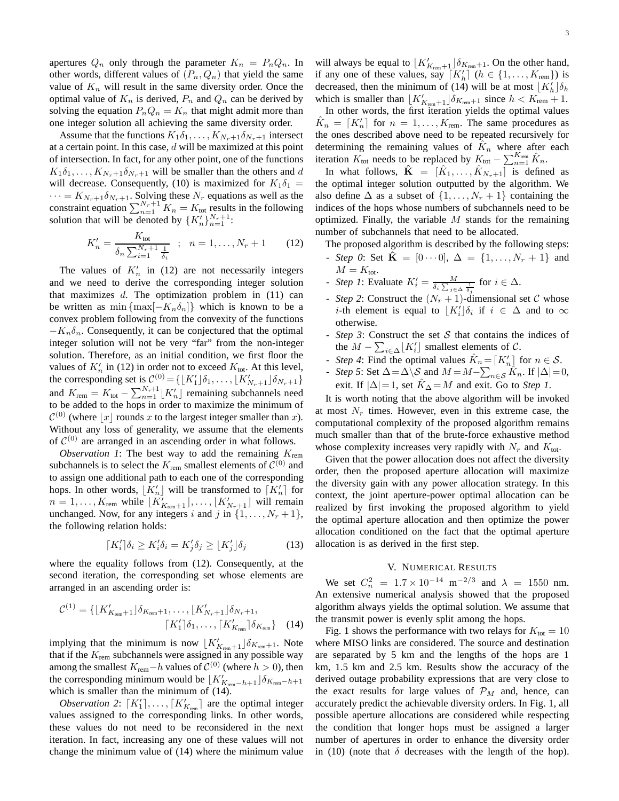apertures  $Q_n$  only through the parameter  $K_n = P_n Q_n$ . In other words, different values of  $(P_n, Q_n)$  that yield the same value of  $K_n$  will result in the same diversity order. Once the optimal value of  $K_n$  is derived,  $P_n$  and  $Q_n$  can be derived by solving the equation  $P_nQ_n = K_n$  that might admit more than one integer solution all achieving the same diversity order.

Assume that the functions  $K_1\delta_1,\ldots,K_{N_r+1}\delta_{N_r+1}$  intersect at a certain point. In this case,  $d$  will be maximized at this point of intersection. In fact, for any other point, one of the functions  $K_1\delta_1,\ldots,K_{N_r+1}\delta_{N_r+1}$  will be smaller than the others and d will decrease. Consequently, (10) is maximized for  $K_1\delta_1 =$  $\cdots = K_{N_r+1} \delta_{N_r+1}$ . Solving these  $N_r$  equations as well as the constraint equation  $\sum_{n=1}^{N_r+1} K_n = K_{\text{tot}}$  results in the following solution that will be denoted by  $\{K'_n\}_{n=1}^{N_r+1}$ :

$$
K'_{n} = \frac{K_{\text{tot}}}{\delta_{n} \sum_{i=1}^{N_{r}+1} \frac{1}{\delta_{i}}}; \quad n = 1, \dots, N_{r} + 1 \quad (12)
$$

The values of  $K'_n$  in (12) are not necessarily integers and we need to derive the corresponding integer solution that maximizes  $d$ . The optimization problem in  $(11)$  can be written as min {max[ $-K_n\delta_n$ ]} which is known to be a convex problem following from the convexity of the functions  $-K_n\delta_n$ . Consequently, it can be conjectured that the optimal integer solution will not be very "far" from the non-integer solution. Therefore, as an initial condition, we first floor the values of  $K'_n$  in (12) in order not to exceed  $K_{\text{tot}}$ . At this level, the corresponding set is  $C^{(0)} = \{ \lfloor K_1' \rfloor \delta_1, \ldots, \lfloor K_{N_r+1}' \rfloor \delta_{N_r+1} \}$ and  $K_{\text{rem}} = K_{\text{tot}} - \sum_{n=1}^{N_r+1} [K'_n]$  remaining subchannels need to be added to the hops in order to maximize the minimum of  $\mathcal{C}^{(0)}$  (where  $\lfloor x \rfloor$  rounds x to the largest integer smaller than x). Without any loss of generality, we assume that the elements of  $C^{(0)}$  are arranged in an ascending order in what follows.

*Observation 1*: The best way to add the remaining  $K_{\text{rem}}$ subchannels is to select the  $K_{\text{rem}}$  smallest elements of  $\mathcal{C}^{(0)}$  and to assign one additional path to each one of the corresponding hops. In other words,  $\lfloor K'_n \rfloor$  will be transformed to  $\lceil K'_n \rceil$  for  $n = 1, \ldots, K_{\text{rem}}$  while  $\lfloor K'_{K_{\text{rem}}+1} \rfloor, \ldots, \lfloor K'_{N_r+1} \rfloor$  will remain unchanged. Now, for any integers i and j in  $\{1, \ldots, N_r + 1\}$ , the following relation holds:

$$
\lceil K_i' \rceil \delta_i \ge K_i' \delta_i = K_j' \delta_j \ge \lfloor K_j' \rfloor \delta_j \tag{13}
$$

where the equality follows from (12). Consequently, at the second iteration, the corresponding set whose elements are arranged in an ascending order is:

$$
\mathcal{C}^{(1)} = \{ \lfloor K'_{K_{\text{rem}}+1} \rfloor \delta_{K_{\text{rem}}+1}, \dots, \lfloor K'_{N_{r}+1} \rfloor \delta_{N_{r}+1}, \lceil K'_{1} \rceil \delta_{1}, \dots, \lceil K'_{K_{\text{rem}}} \rceil \delta_{K_{\text{rem}}} \} \quad (14)
$$

implying that the minimum is now  $\lfloor K'_{K_{\text{rem}}+1} \rfloor \delta_{K_{\text{rem}}+1}$ . Note that if the  $K_{\text{rem}}$  subchannels were assigned in any possible way among the smallest  $K_{\text{rem}}-h$  values of  $\mathcal{C}^{(0)}$  (where  $h > 0$ ), then the corresponding minimum would be  $\lfloor K'_{K_{\text{rem}}-h+1}\rfloor \delta_{K_{\text{rem}}-h+1}$ which is smaller than the minimum of (14).

*Observation 2*:  $[K'_1], \ldots, [K'_{K_{\text{rem}}}]$  are the optimal integer values assigned to the corresponding links. In other words, these values do not need to be reconsidered in the next iteration. In fact, increasing any one of these values will not change the minimum value of (14) where the minimum value will always be equal to  $\lfloor K'_{K_{\text{rem}}+1} \rfloor \delta_{K_{\text{rem}}+1}$ . On the other hand, if any one of these values, say  $\lceil K'_h \rceil$   $(h \in \{1, ..., K_{\text{rem}}\})$  is decreased, then the minimum of (14) will be at most  $\lfloor K'_h \rfloor \delta_h$ which is smaller than  $\lfloor K'_{K_{\text{rem}}+1} \rfloor \delta_{K_{\text{rem}}+1}$  since  $h < K_{\text{rem}} + 1$ .

In other words, the first iteration yields the optimal values  $\hat{K}_n = [K'_n]$  for  $n = 1, ..., K_{\text{rem}}$ . The same procedures as the ones described above need to be repeated recursively for determining the remaining values of  $\tilde{K}_n$  where after each iteration  $K_{\text{tot}}$  needs to be replaced by  $K_{\text{tot}} - \sum_{n=1}^{K_{\text{rem}}} \hat{K}_n$ .

In what follows,  $\hat{\mathbf{K}} = [\hat{K}_1, \dots, \hat{K}_{N_r+1}]$  is defined as the optimal integer solution outputted by the algorithm. We also define  $\Delta$  as a subset of  $\{1, \ldots, N_r + 1\}$  containing the indices of the hops whose numbers of subchannels need to be optimized. Finally, the variable  $M$  stands for the remaining number of subchannels that need to be allocated.

The proposed algorithm is described by the following steps:

- *Step 0*: Set  $\hat{\mathbf{K}} = [0 \cdots 0], \Delta = \{1, ..., N_r + 1\}$  and  $M = K_{\text{tot}}$ .
- *Step 1*: Evaluate  $K'_i = \frac{M}{\delta_i \sum_{j \in \Delta} \frac{1}{\delta_j}}$  for  $i \in \Delta$ .
- *Step 2*: Construct the  $(N_r + 1)$ -dimensional set C whose *i*-th element is equal to  $\lfloor K_i' \rfloor \delta_i$  if  $i \in \Delta$  and to  $\infty$ otherwise.
- *Step 3*: Construct the set S that contains the indices of the  $M - \sum_{i \in \Delta} [K'_i]$  smallest elements of C.
- *Step 4*: Find the optimal values  $\hat{K}_n = [K'_n]$  for  $n \in \mathcal{S}$ .
- *Step 5*: Set Δ = Δ  $\overline{\downarrow}$ *S* and *M* = *M* −  $\sum_{n \in S} \hat{K}_n$ . If  $|\Delta|$  = 0, exit. If  $|\Delta| = 1$ , set  $K_{\Delta} = M$  and exit. Go to *Step 1*.

It is worth noting that the above algorithm will be invoked at most  $N_r$  times. However, even in this extreme case, the computational complexity of the proposed algorithm remains much smaller than that of the brute-force exhaustive method whose complexity increases very rapidly with  $N_r$  and  $K_{\text{tot}}$ .

Given that the power allocation does not affect the diversity order, then the proposed aperture allocation will maximize the diversity gain with any power allocation strategy. In this context, the joint aperture-power optimal allocation can be realized by first invoking the proposed algorithm to yield the optimal aperture allocation and then optimize the power allocation conditioned on the fact that the optimal aperture allocation is as derived in the first step.

### V. NUMERICAL RESULTS

We set  $C_n^2 = 1.7 \times 10^{-14} \text{ m}^{-2/3}$  and  $\lambda = 1550 \text{ nm}$ . An extensive numerical analysis showed that the proposed algorithm always yields the optimal solution. We assume that the transmit power is evenly split among the hops.

Fig. 1 shows the performance with two relays for  $K_{\text{tot}} = 10$ where MISO links are considered. The source and destination are separated by 5 km and the lengths of the hops are 1 km, 1.5 km and 2.5 km. Results show the accuracy of the derived outage probability expressions that are very close to the exact results for large values of  $\mathcal{P}_M$  and, hence, can accurately predict the achievable diversity orders. In Fig. 1, all possible aperture allocations are considered while respecting the condition that longer hops must be assigned a larger number of apertures in order to enhance the diversity order in (10) (note that  $\delta$  decreases with the length of the hop).